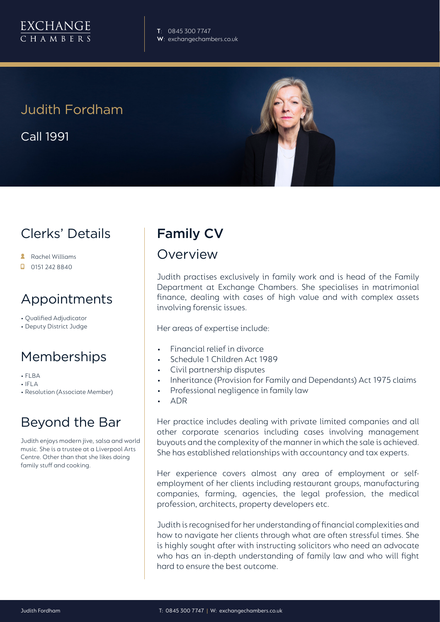

# Judith Fordham

Call 1991



# Clerks' Details

- Rachel Williams
- 0151 242 8840

## Appointments

- Qualified Adjudicator
- Deputy District Judge

# Memberships

- FLBA
- IFLA
- Resolution (Associate Member)

# Beyond the Bar

Judith enjoys modern jive, salsa and world music. She is a trustee at a Liverpool Arts Centre. Other than that she likes doing family stuff and cooking.

# Family CV

#### Overview

Judith practises exclusively in family work and is head of the Family Department at Exchange Chambers. She specialises in matrimonial finance, dealing with cases of high value and with complex assets involving forensic issues.

Her areas of expertise include:

- Financial relief in divorce
- Schedule 1 Children Act 1989
- Civil partnership disputes
- Inheritance (Provision for Family and Dependants) Act 1975 claims
- Professional negligence in family law
- ADR

Her practice includes dealing with private limited companies and all other corporate scenarios including cases involving management buyouts and the complexity of the manner in which the sale is achieved. She has established relationships with accountancy and tax experts.

Her experience covers almost any area of employment or selfemployment of her clients including restaurant groups, manufacturing companies, farming, agencies, the legal profession, the medical profession, architects, property developers etc.

Judith is recognised for her understanding of financial complexities and how to navigate her clients through what are often stressful times. She is highly sought after with instructing solicitors who need an advocate who has an in-depth understanding of family law and who will fight hard to ensure the best outcome.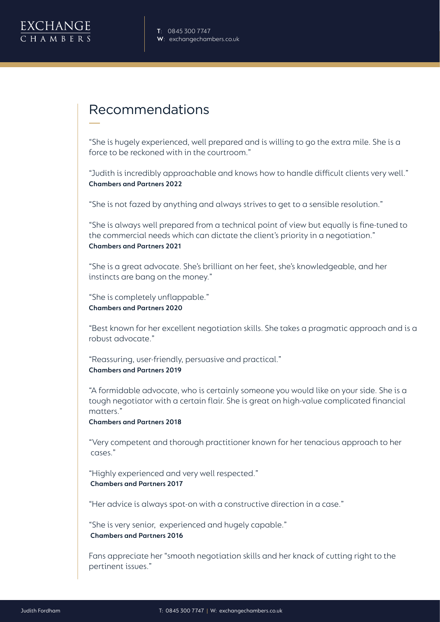

## Recommendations

"She is hugely experienced, well prepared and is willing to go the extra mile. She is a force to be reckoned with in the courtroom."

"Judith is incredibly approachable and knows how to handle difficult clients very well." **Chambers and Partners 2022**

"She is not fazed by anything and always strives to get to a sensible resolution."

"She is always well prepared from a technical point of view but equally is fine-tuned to the commercial needs which can dictate the client's priority in a negotiation." **Chambers and Partners 2021**

"She is a great advocate. She's brilliant on her feet, she's knowledgeable, and her instincts are bang on the money."

"She is completely unflappable." **Chambers and Partners 2020**

"Best known for her excellent negotiation skills. She takes a pragmatic approach and is a robust advocate."

"Reassuring, user-friendly, persuasive and practical." **Chambers and Partners 2019** 

"A formidable advocate, who is certainly someone you would like on your side. She is a tough negotiator with a certain flair. She is great on high-value complicated financial matters."

**Chambers and Partners 2018**

"Very competent and thorough practitioner known for her tenacious approach to her cases."

"Highly experienced and very well respected."  **Chambers and Partners 2017**

"Her advice is always spot-on with a constructive direction in a case."

"She is very senior, experienced and hugely capable."  **Chambers and Partners 2016**

Fans appreciate her "smooth negotiation skills and her knack of cutting right to the pertinent issues."